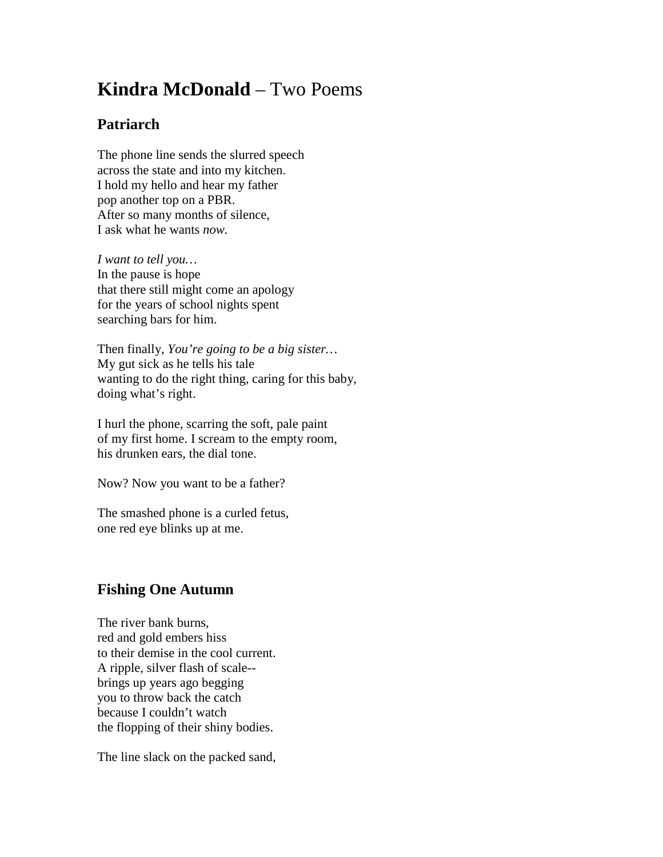## **Kindra McDonald** – Two Poems

## **Patriarch**

The phone line sends the slurred speech across the state and into my kitchen. I hold my hello and hear my father pop another top on a PBR. After so many months of silence, I ask what he wants *now.*

*I want to tell you…* In the pause is hope that there still might come an apology for the years of school nights spent searching bars for him.

Then finally, *You're going to be a big sister…* My gut sick as he tells his tale wanting to do the right thing, caring for this baby, doing what's right.

I hurl the phone, scarring the soft, pale paint of my first home. I scream to the empty room, his drunken ears, the dial tone.

Now? Now you want to be a father?

The smashed phone is a curled fetus, one red eye blinks up at me.

## **Fishing One Autumn**

The river bank burns, red and gold embers hiss to their demise in the cool current. A ripple, silver flash of scale- brings up years ago begging you to throw back the catch because I couldn't watch the flopping of their shiny bodies.

The line slack on the packed sand,